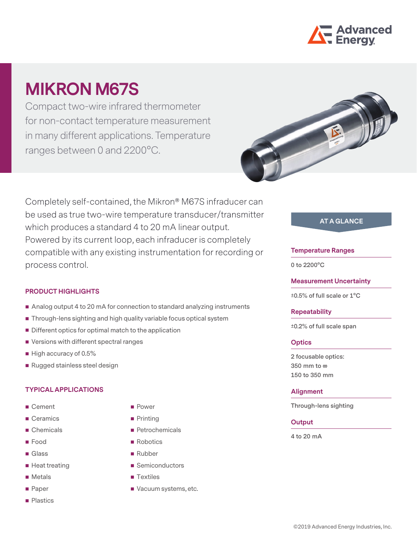

# **MIKRON M67S**

Compact two-wire infrared thermometer for non-contact temperature measurement in many different applications. Temperature ranges between 0 and 2200°C.



Completely self-contained, the Mikron® M67S infraducer can be used as true two-wire temperature transducer/transmitter which produces a standard 4 to 20 mA linear output. Powered by its current loop, each infraducer is completely compatible with any existing instrumentation for recording or process control.

## **PRODUCT HIGHLIGHTS**

- Analog output 4 to 20 mA for connection to standard analyzing instruments
- Through-lens sighting and high quality variable focus optical system
- **Different optics for optimal match to the application**
- Versions with different spectral ranges
- $\blacksquare$  High accuracy of 0.5%
- Rugged stainless steel design

## **TYPICAL APPLICATIONS**

- Cement
- Ceramics
- Chemicals
- **Food**
- Glass
- $\blacksquare$  Heat treating
- **Metals**
- **Paper**
- **Plastics**
- **Power**
- **Printing**
- Petrochemicals
- Robotics
- Rubber
- Semiconductors
- **Textiles**
- Vacuum systems, etc.

# **AT A GLANCE**

#### **Temperature Ranges**

**0 to 2200°C**

**Measurement Uncertainty**

**±0.5% of full scale or 1°C**

#### **Repeatability**

**±0.2% of full scale span**

## **Optics**

**2 focusable optics: 350 mm to ∞ 150 to 350 mm**

#### **Alignment**

**Through-lens sighting**

## **Output**

**4 to 20 mA**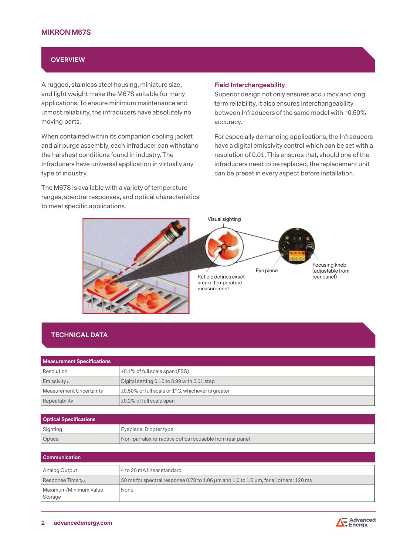## **MIKRON M67S**

## **OVERVIEW**

A rugged, stainless steel housing, miniature size, and light weight make the M67S suitable for many applications. To ensure minimum maintenance and utmost reliability, the infraducers have absolutely no moving parts.

When contained within its companion cooling jacket and air purge assembly, each infraducer can withstand the harshest conditions found in industry. The Infraducers have universal application in virtually any type of industry.

The M67S is available with a variety of temperature ranges, spectral responses, and optical characteristics to meet specific applications.

#### **Field Interchangeability**

Superior design not only ensures accu racy and long term reliability, it also ensures interchangeability between Infraducers of the same model with ±0.50% accuracy.

For especially demanding applications, the Infraducers have a digital emissivity control which can be set with a resolution of 0.01. This ensures that, should one of the infraducers need to be replaced, the replacement unit can be preset in every aspect before installation.



# **TECHNICAL DATA**

| <b>Measurement Specifications</b> |                                                         |  |
|-----------------------------------|---------------------------------------------------------|--|
| Resolution                        | $\pm 0.1\%$ of full scale span (FSS)                    |  |
| <b>Emissivity</b> $\varepsilon$   | Digital setting 0.10 to 0.99 with 0.01 step             |  |
| <b>Measurement Uncertainty</b>    | $\pm 0.50\%$ of full scale or 1°C, whichever is greater |  |
| Repeatability                     | $\pm$ 0.2% of full scale span                           |  |

| <b>Optical Specifications</b> |                                                          |  |
|-------------------------------|----------------------------------------------------------|--|
| Sighting                      | Eyepiece: Diopter type                                   |  |
| Optics                        | Non-parralax refractive optics focusable from rear panel |  |

| <b>Communication</b>             |                                                                                       |  |
|----------------------------------|---------------------------------------------------------------------------------------|--|
| Analog Output                    | 4 to 20 mA linear standard                                                            |  |
| Response Time $t_{\alpha 5}$     | 50 ms for spectral response 0.78 to 1.06 µm and 1.0 to 1.6 µm, for all others: 120 ms |  |
| Maximum/Minimum Value<br>Storage | None                                                                                  |  |

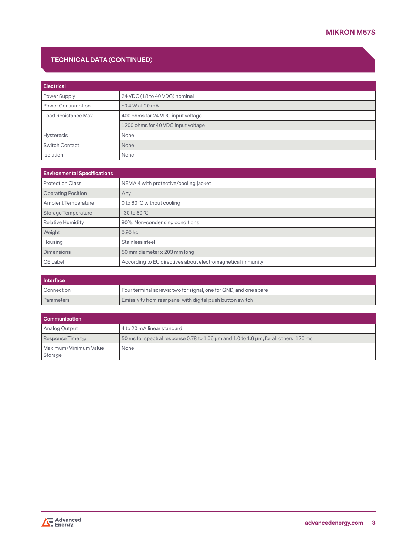# **TECHNICAL DATA (CONTINUED)**

| <b>Electrical</b>   |                                    |  |
|---------------------|------------------------------------|--|
| Power Supply        | 24 VDC (18 to 40 VDC) nominal      |  |
| Power Consumption   | $\sim$ 0.4 W at 20 mA              |  |
| Load Resistance Max | 400 ohms for 24 VDC input voltage  |  |
|                     | 1200 ohms for 40 VDC input voltage |  |
| <b>Hysteresis</b>   | None                               |  |
| Switch Contact      | None                               |  |
| Isolation           | None                               |  |

| <b>Environmental Specifications</b> |                                                             |  |
|-------------------------------------|-------------------------------------------------------------|--|
| <b>Protection Class</b>             | NEMA 4 with protective/cooling jacket                       |  |
| <b>Operating Position</b>           | Any                                                         |  |
| <b>Ambient Temperature</b>          | 0 to 60°C without cooling                                   |  |
| <b>Storage Temperature</b>          | $-30$ to $80^{\circ}$ C                                     |  |
| <b>Relative Humidity</b>            | 90%, Non-condensing conditions                              |  |
| Weight                              | $0.90$ kg                                                   |  |
| Housing                             | Stainless steel                                             |  |
| <b>Dimensions</b>                   | 50 mm diameter x 203 mm long                                |  |
| CE Label                            | According to EU directives about electromagnetical immunity |  |

| Interface         |                                                                  |  |
|-------------------|------------------------------------------------------------------|--|
| ' Connection      | Four terminal screws: two for signal, one for GND, and one spare |  |
| <b>Parameters</b> | Emissivity from rear panel with digital push button switch       |  |

| <b>Communication</b>             |                                                                                                               |  |
|----------------------------------|---------------------------------------------------------------------------------------------------------------|--|
| Analog Output                    | 4 to 20 mA linear standard                                                                                    |  |
| Response Time t <sub>os</sub>    | $\frac{1}{2}$ 50 ms for spectral response 0.78 to 1.06 $\mu$ m and 1.0 to 1.6 $\mu$ m, for all others: 120 ms |  |
| Maximum/Minimum Value<br>Storage | None                                                                                                          |  |

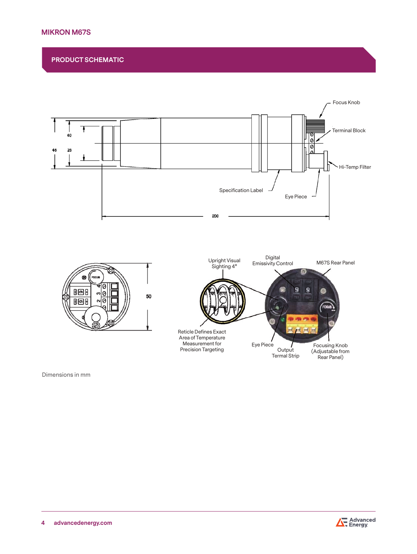# **MIKRON M67S**

**PRODUCT SCHEMATIC**



Dimensions in mm

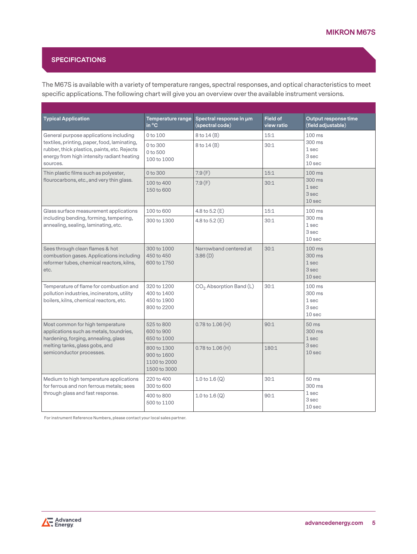# **SPECIFICATIONS**

The M67S is available with a variety of temperature ranges, spectral responses, and optical characteristics to meet specific applications. The following chart will give you an overview over the available instrument versions.

| <b>Typical Application</b>                                                                                                                             | Temperature range<br>in °C                                 | Spectral response in um<br>(spectral code) | <b>Field of</b><br>view ratio | Output response time<br>(field adjustable)                |
|--------------------------------------------------------------------------------------------------------------------------------------------------------|------------------------------------------------------------|--------------------------------------------|-------------------------------|-----------------------------------------------------------|
| General purpose applications including                                                                                                                 | 0 to 100                                                   | $8$ to $14(B)$                             | 15:1                          | $100$ ms                                                  |
| textiles, printing, paper, food, laminating,<br>rubber, thick plastics, paints, etc. Rejects<br>energy from high intensity radiant heating<br>sources. | 0 to 300<br>0 to 500<br>100 to 1000                        | 8 to 14 (B)                                | 30:1                          | 300 ms<br>1 sec<br>3 sec<br>10 sec                        |
| Thin plastic films such as polyester,                                                                                                                  | 0 to 300                                                   | 7.9(F)                                     | 15:1                          | $100$ ms<br>300 ms<br>1 sec<br>3 sec<br>10 <sub>sec</sub> |
| flourocarbons, etc., and very thin glass.                                                                                                              | 100 to 400<br>150 to 600                                   | 7.9(F)                                     | 30:1                          |                                                           |
| Glass surface measurement applications                                                                                                                 | 100 to 600                                                 | 4.8 to $5.2(E)$                            | 15:1                          | $100$ ms                                                  |
| including bending, forming, tempering,<br>annealing, sealing, laminating, etc.                                                                         | 300 to 1300                                                | 4.8 to $5.2$ (E)                           | 30:1                          | 300 ms<br>1 sec<br>3 sec<br>10 sec                        |
| Sees through clean flames & hot<br>combustion gases. Applications including<br>reformer tubes, chemical reactors, kilns,<br>etc.                       | 300 to 1000<br>450 to 450<br>600 to 1750                   | Narrowband centered at<br>3.86(D)          | 30:1                          | $100$ ms<br>300 ms<br>1 sec<br>3 sec<br>10 <sub>sec</sub> |
| Temperature of flame for combustion and<br>pollution industries, incinerators, utility<br>boilers, kilns, chemical reactors, etc.                      | 320 to 1200<br>400 to 1400<br>450 to 1900<br>800 to 2200   | $CO2$ Absorption Band (L)                  | 30:1                          | $100$ ms<br>300 ms<br>1 sec<br>3 sec<br>10 sec            |
| Most common for high temperature<br>applications such as metals, toundries,<br>hardening, forging, annealing, glass                                    | 525 to 800<br>600 to 900<br>650 to 1000                    | $0.78$ to $1.06$ (H)                       | 90:1                          | 50 ms<br>300 ms<br>1 sec<br>3 sec<br>10 <sub>sec</sub>    |
| melting tanks, glass gobs, and<br>semiconductor processes.                                                                                             | 800 to 1300<br>900 to 1600<br>1100 to 2000<br>1500 to 3000 | $0.78$ to $1.06$ (H)                       | 180:1                         |                                                           |
| Medium to high temperature applications<br>for ferrous and non ferrous metals; sees                                                                    | 220 to 400<br>300 to 600                                   | 1.0 to $1.6(Q)$                            | 30:1                          | 50 ms<br>300 ms<br>1 sec<br>3 sec<br>10 sec               |
| through glass and fast response.                                                                                                                       | 400 to 800<br>500 to 1100                                  | 1.0 to $1.6(Q)$                            | 90:1                          |                                                           |

For instrument Reference Numbers, please contact your local sales partner.

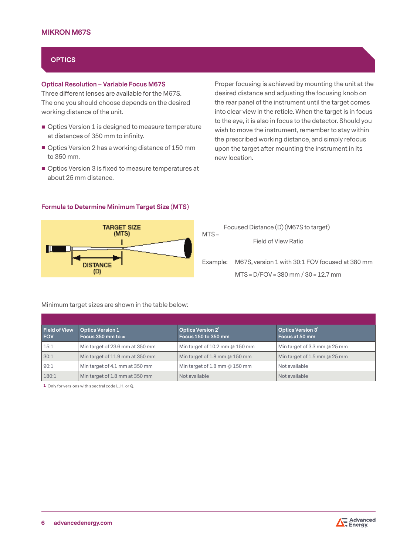# **OPTICS**

### **Optical Resolution – Variable Focus M67S**

Three different lenses are available for the M67S. The one you should choose depends on the desired working distance of the unit.

- Optics Version 1 is designed to measure temperature at distances of 350 mm to infinity.
- Optics Version 2 has a working distance of 150 mm to 350 mm.
- Optics Version 3 is fixed to measure temperatures at about 25 mm distance.

**Formula to Determine Minimum Target Size (MTS)**

Proper focusing is achieved by mounting the unit at the desired distance and adjusting the focusing knob on the rear panel of the instrument until the target comes into clear view in the reticle. When the target is in focus to the eye, it is also in focus to the detector. Should you wish to move the instrument, remember to stay within the prescribed working distance, and simply refocus upon the target after mounting the instrument in its new location.



Focused Distance (D) (M67S to target) Field of View Ratio Example: M67S, version 1 with 30:1 FOV focused at 380 mm MTS = D/FOV = 380 mm / 30 = 12.7 mm  $MTS =$ 

#### Minimum target sizes are shown in the table below:

| <b>Field of View</b><br><b>FOV</b> | <b>Optics Version 1</b><br>Focus 350 mm to $\infty$ | Optics Version 2 <sup>1</sup><br>Focus 150 to 350 mm | Optics Version $31$<br>Focus at 50 mm |
|------------------------------------|-----------------------------------------------------|------------------------------------------------------|---------------------------------------|
| 15:1                               | Min target of 23.6 mm at 350 mm                     | Min target of 10.2 mm $@$ 150 mm                     | Min target of 3.3 mm $@25$ mm         |
| 30:1                               | Min target of 11.9 mm at 350 mm                     | Min target of 1.8 mm $\omega$ 150 mm                 | Min target of 1.5 mm $@25$ mm         |
| 90:1                               | Min target of 4.1 mm at 350 mm                      | Min target of 1.8 mm $\omega$ 150 mm                 | Not available                         |
| 180:1                              | Min target of 1.8 mm at 350 mm                      | Not available                                        | Not available                         |

**1** Only for versions with spectral code L, H, or Q.

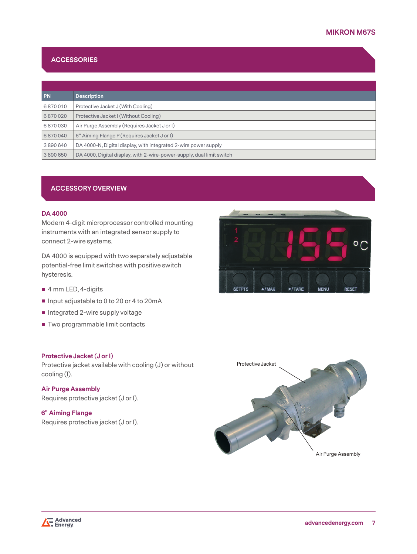# **ACCESSORIES**

| PN.     | <b>Description</b>                                                    |
|---------|-----------------------------------------------------------------------|
| 6870010 | Protective Jacket J (With Cooling)                                    |
| 6870020 | Protective Jacket I (Without Cooling)                                 |
| 6870030 | Air Purge Assembly (Requires Jacket J or I)                           |
| 6870040 | 6" Aiming Flange P (Requires Jacket J or I)                           |
| 3890640 | DA 4000-N, Digital display, with integrated 2-wire power supply       |
| 3890650 | DA 4000, Digital display, with 2-wire-power-supply, dual limit switch |

## **ACCESSORY OVERVIEW**

### **DA 4000**

Modern 4-digit microprocessor controlled mounting instruments with an integrated sensor supply to connect 2-wire systems.

DA 4000 is equipped with two separately adjustable potential-free limit switches with positive switch hysteresis.

- 4 mm LED, 4-digits
- Input adjustable to 0 to 20 or 4 to 20 mA
- Integrated 2-wire supply voltage
- **Two programmable limit contacts**

### **Protective Jacket (J or I)**

Protective jacket available with cooling (J) or without cooling (I).

**Air Purge Assembly** Requires protective jacket (J or I).

**6" Aiming Flange** Requires protective jacket (J or I).